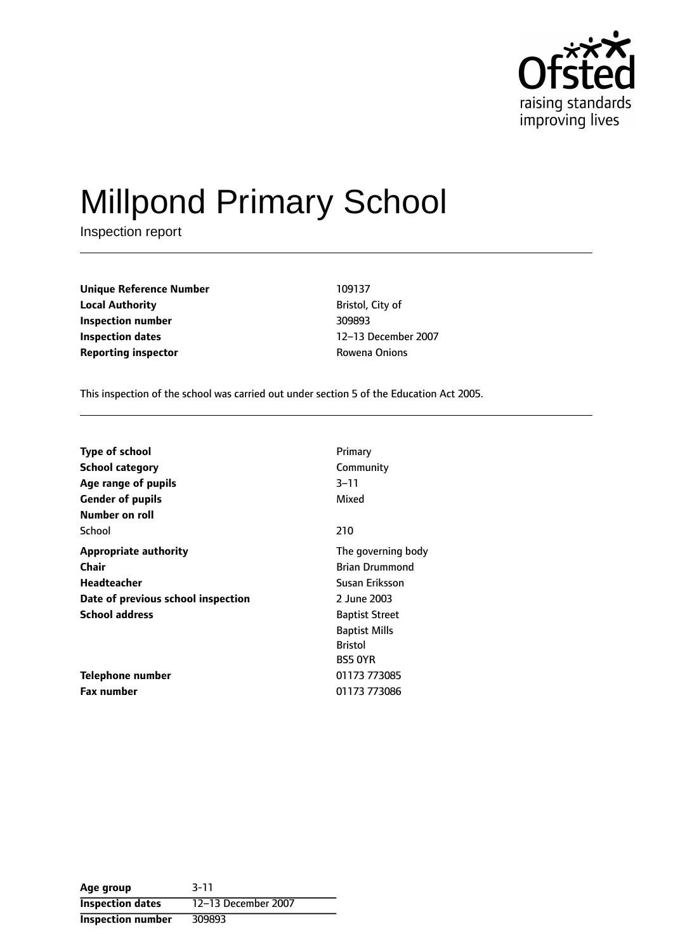

# Millpond Primary School

Inspection report

| <b>Unique Reference Number</b> | 109137           |
|--------------------------------|------------------|
| <b>Local Authority</b>         | Bristol, City of |
| Inspection number              | 309893           |
| <b>Inspection dates</b>        | 12-13 Decembe    |
| <b>Reporting inspector</b>     | Rowena Onions    |

**Bristol, City of Inspection number** 309893 **Inspection dates** 1213 December 2007

This inspection of the school was carried out under section 5 of the Education Act 2005.

| <b>Type of school</b>              | Primary               |
|------------------------------------|-----------------------|
| <b>School category</b>             | Community             |
| Age range of pupils                | $3 - 11$              |
| <b>Gender of pupils</b>            | Mixed                 |
| Number on roll                     |                       |
| School                             | 210                   |
| <b>Appropriate authority</b>       | The governing body    |
| <b>Chair</b>                       | <b>Brian Drummond</b> |
| Headteacher                        | Susan Eriksson        |
| Date of previous school inspection | 2 June 2003           |
| <b>School address</b>              | <b>Baptist Street</b> |
|                                    | <b>Baptist Mills</b>  |
|                                    | <b>Bristol</b>        |
|                                    | <b>BS5 OYR</b>        |
| Telephone number                   | 01173 773085          |
| <b>Fax number</b>                  | 01173 773086          |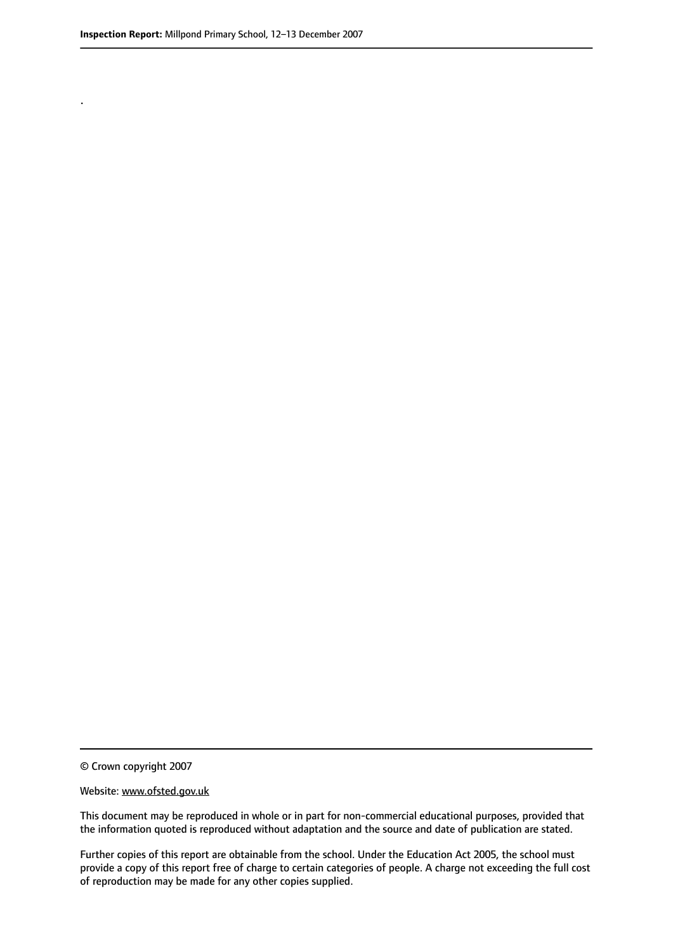.

© Crown copyright 2007

#### Website: www.ofsted.gov.uk

This document may be reproduced in whole or in part for non-commercial educational purposes, provided that the information quoted is reproduced without adaptation and the source and date of publication are stated.

Further copies of this report are obtainable from the school. Under the Education Act 2005, the school must provide a copy of this report free of charge to certain categories of people. A charge not exceeding the full cost of reproduction may be made for any other copies supplied.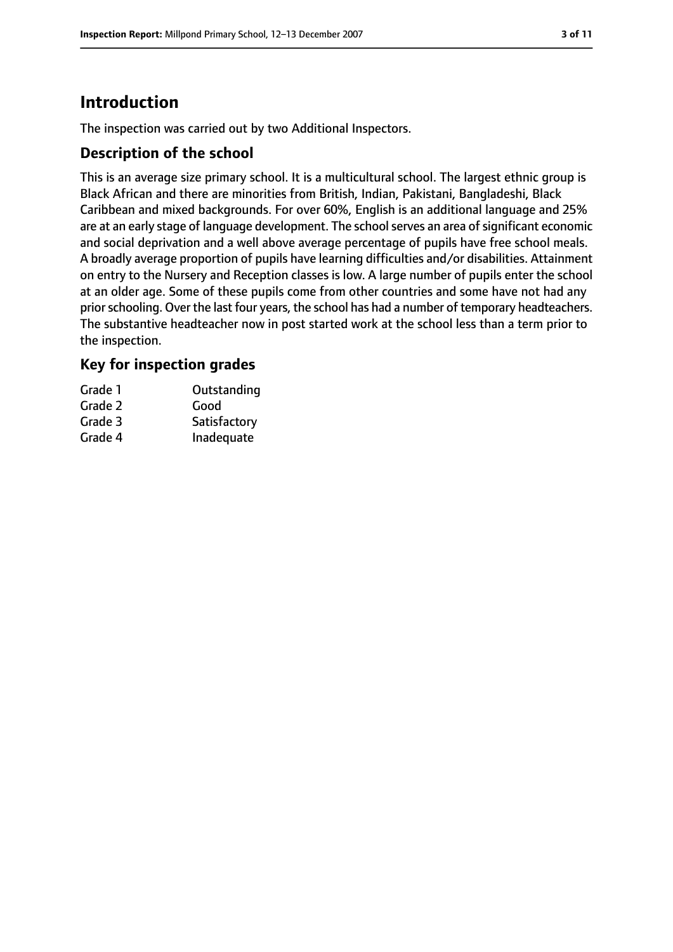# **Introduction**

The inspection was carried out by two Additional Inspectors.

## **Description of the school**

This is an average size primary school. It is a multicultural school. The largest ethnic group is Black African and there are minorities from British, Indian, Pakistani, Bangladeshi, Black Caribbean and mixed backgrounds. For over 60%, English is an additional language and 25% are at an early stage of language development. The school serves an area of significant economic and social deprivation and a well above average percentage of pupils have free school meals. A broadly average proportion of pupils have learning difficulties and/or disabilities. Attainment on entry to the Nursery and Reception classes is low. A large number of pupils enter the school at an older age. Some of these pupils come from other countries and some have not had any prior schooling. Over the last four years, the school has had a number of temporary headteachers. The substantive headteacher now in post started work at the school less than a term prior to the inspection.

## **Key for inspection grades**

| Grade 1 | Outstanding  |
|---------|--------------|
| Grade 2 | Good         |
| Grade 3 | Satisfactory |
| Grade 4 | Inadequate   |
|         |              |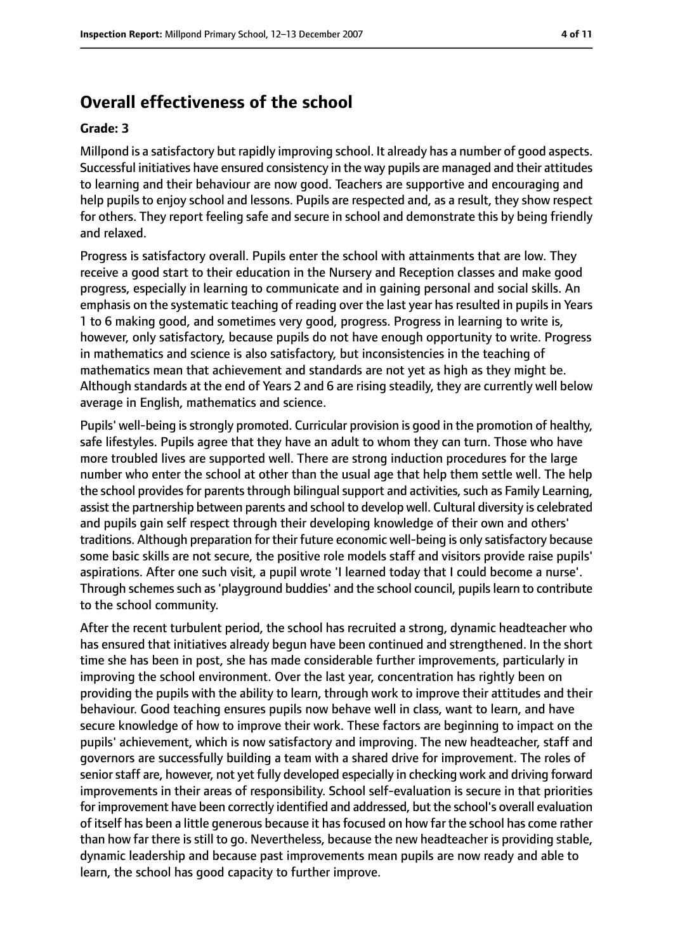# **Overall effectiveness of the school**

#### **Grade: 3**

Millpond is a satisfactory but rapidly improving school. It already has a number of good aspects. Successful initiatives have ensured consistency in the way pupils are managed and their attitudes to learning and their behaviour are now good. Teachers are supportive and encouraging and help pupils to enjoy school and lessons. Pupils are respected and, as a result, they show respect for others. They report feeling safe and secure in school and demonstrate this by being friendly and relaxed.

Progress is satisfactory overall. Pupils enter the school with attainments that are low. They receive a good start to their education in the Nursery and Reception classes and make good progress, especially in learning to communicate and in gaining personal and social skills. An emphasis on the systematic teaching of reading over the last year has resulted in pupils in Years 1 to 6 making good, and sometimes very good, progress. Progress in learning to write is, however, only satisfactory, because pupils do not have enough opportunity to write. Progress in mathematics and science is also satisfactory, but inconsistencies in the teaching of mathematics mean that achievement and standards are not yet as high as they might be. Although standards at the end of Years 2 and 6 are rising steadily, they are currently well below average in English, mathematics and science.

Pupils' well-being is strongly promoted. Curricular provision is good in the promotion of healthy, safe lifestyles. Pupils agree that they have an adult to whom they can turn. Those who have more troubled lives are supported well. There are strong induction procedures for the large number who enter the school at other than the usual age that help them settle well. The help the school provides for parents through bilingual support and activities, such as Family Learning, assist the partnership between parents and school to develop well. Cultural diversity is celebrated and pupils gain self respect through their developing knowledge of their own and others' traditions. Although preparation for their future economic well-being is only satisfactory because some basic skills are not secure, the positive role models staff and visitors provide raise pupils' aspirations. After one such visit, a pupil wrote 'I learned today that I could become a nurse'. Through schemes such as 'playground buddies' and the school council, pupils learn to contribute to the school community.

After the recent turbulent period, the school has recruited a strong, dynamic headteacher who has ensured that initiatives already begun have been continued and strengthened. In the short time she has been in post, she has made considerable further improvements, particularly in improving the school environment. Over the last year, concentration has rightly been on providing the pupils with the ability to learn, through work to improve their attitudes and their behaviour. Good teaching ensures pupils now behave well in class, want to learn, and have secure knowledge of how to improve their work. These factors are beginning to impact on the pupils' achievement, which is now satisfactory and improving. The new headteacher, staff and governors are successfully building a team with a shared drive for improvement. The roles of senior staff are, however, not yet fully developed especially in checking work and driving forward improvements in their areas of responsibility. School self-evaluation is secure in that priorities for improvement have been correctly identified and addressed, but the school's overall evaluation of itself has been a little generous because it has focused on how far the school has come rather than how far there is still to go. Nevertheless, because the new headteacher is providing stable, dynamic leadership and because past improvements mean pupils are now ready and able to learn, the school has good capacity to further improve.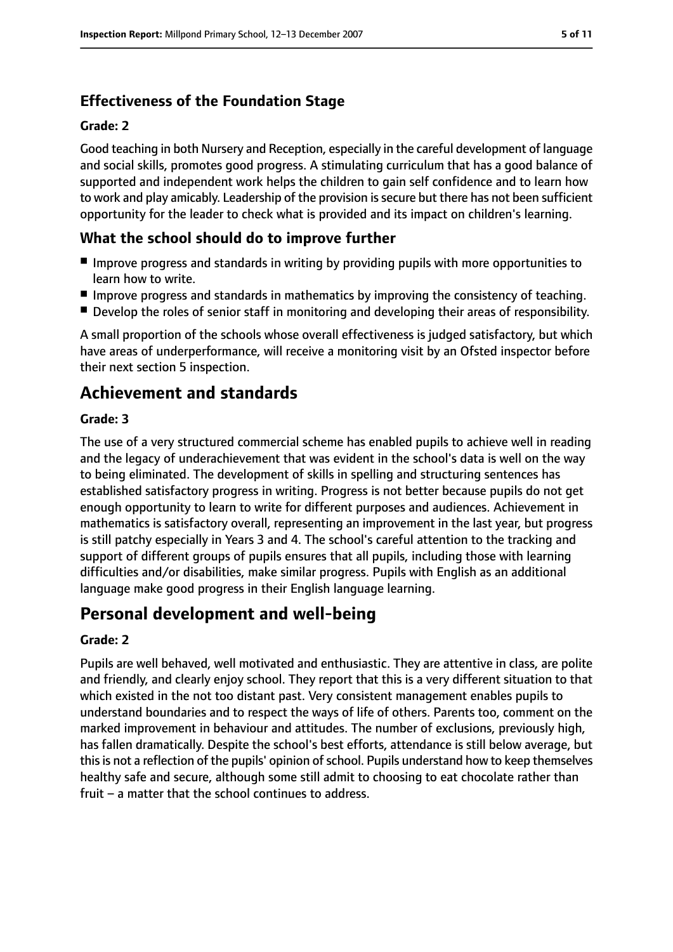# **Effectiveness of the Foundation Stage**

#### **Grade: 2**

Good teaching in both Nursery and Reception, especially in the careful development of language and social skills, promotes good progress. A stimulating curriculum that has a good balance of supported and independent work helps the children to gain self confidence and to learn how to work and play amicably. Leadership of the provision is secure but there has not been sufficient opportunity for the leader to check what is provided and its impact on children's learning.

## **What the school should do to improve further**

- Improve progress and standards in writing by providing pupils with more opportunities to learn how to write.
- Improve progress and standards in mathematics by improving the consistency of teaching.
- Develop the roles of senior staff in monitoring and developing their areas of responsibility.

A small proportion of the schools whose overall effectiveness is judged satisfactory, but which have areas of underperformance, will receive a monitoring visit by an Ofsted inspector before their next section 5 inspection.

# **Achievement and standards**

#### **Grade: 3**

The use of a very structured commercial scheme has enabled pupils to achieve well in reading and the legacy of underachievement that was evident in the school's data is well on the way to being eliminated. The development of skills in spelling and structuring sentences has established satisfactory progress in writing. Progress is not better because pupils do not get enough opportunity to learn to write for different purposes and audiences. Achievement in mathematics is satisfactory overall, representing an improvement in the last year, but progress is still patchy especially in Years 3 and 4. The school's careful attention to the tracking and support of different groups of pupils ensures that all pupils, including those with learning difficulties and/or disabilities, make similar progress. Pupils with English as an additional language make good progress in their English language learning.

# **Personal development and well-being**

#### **Grade: 2**

Pupils are well behaved, well motivated and enthusiastic. They are attentive in class, are polite and friendly, and clearly enjoy school. They report that this is a very different situation to that which existed in the not too distant past. Very consistent management enables pupils to understand boundaries and to respect the ways of life of others. Parents too, comment on the marked improvement in behaviour and attitudes. The number of exclusions, previously high, has fallen dramatically. Despite the school's best efforts, attendance is still below average, but this is not a reflection of the pupils' opinion of school. Pupils understand how to keep themselves healthy safe and secure, although some still admit to choosing to eat chocolate rather than fruit - a matter that the school continues to address.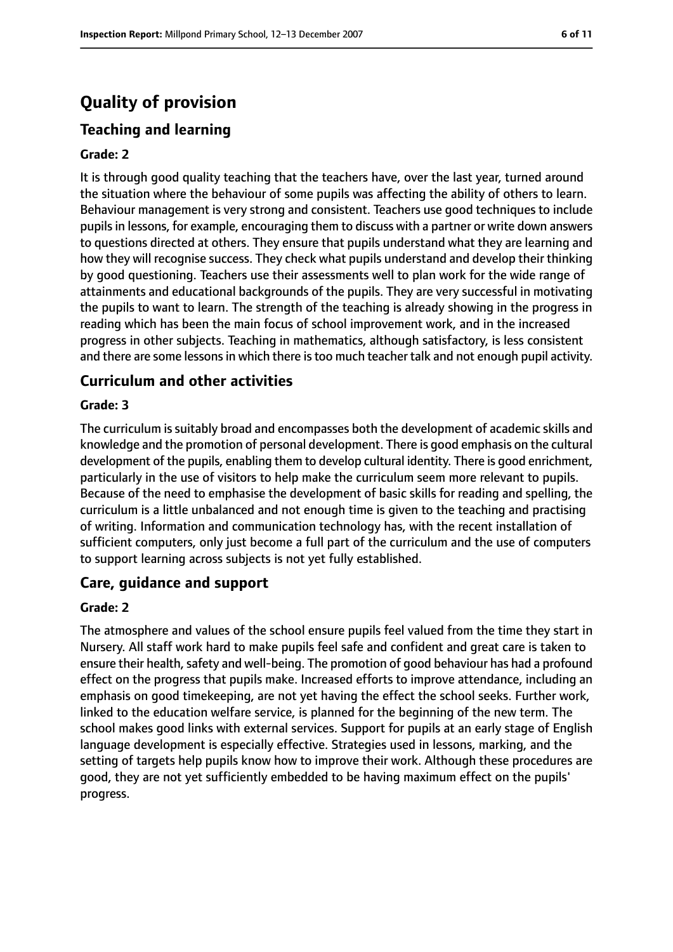# **Quality of provision**

# **Teaching and learning**

#### **Grade: 2**

It is through good quality teaching that the teachers have, over the last year, turned around the situation where the behaviour of some pupils was affecting the ability of others to learn. Behaviour management is very strong and consistent. Teachers use good techniques to include pupilsin lessons, for example, encouraging them to discuss with a partner or write down answers to questions directed at others. They ensure that pupils understand what they are learning and how they will recognise success. They check what pupils understand and develop their thinking by good questioning. Teachers use their assessments well to plan work for the wide range of attainments and educational backgrounds of the pupils. They are very successful in motivating the pupils to want to learn. The strength of the teaching is already showing in the progress in reading which has been the main focus of school improvement work, and in the increased progress in other subjects. Teaching in mathematics, although satisfactory, is less consistent and there are some lessons in which there is too much teacher talk and not enough pupil activity.

## **Curriculum and other activities**

#### **Grade: 3**

The curriculum is suitably broad and encompasses both the development of academic skills and knowledge and the promotion of personal development. There is good emphasis on the cultural development of the pupils, enabling them to develop cultural identity. There is good enrichment, particularly in the use of visitors to help make the curriculum seem more relevant to pupils. Because of the need to emphasise the development of basic skills for reading and spelling, the curriculum is a little unbalanced and not enough time is given to the teaching and practising of writing. Information and communication technology has, with the recent installation of sufficient computers, only just become a full part of the curriculum and the use of computers to support learning across subjects is not yet fully established.

## **Care, guidance and support**

#### **Grade: 2**

The atmosphere and values of the school ensure pupils feel valued from the time they start in Nursery. All staff work hard to make pupils feel safe and confident and great care is taken to ensure their health, safety and well-being. The promotion of good behaviour has had a profound effect on the progress that pupils make. Increased efforts to improve attendance, including an emphasis on good timekeeping, are not yet having the effect the school seeks. Further work, linked to the education welfare service, is planned for the beginning of the new term. The school makes good links with external services. Support for pupils at an early stage of English language development is especially effective. Strategies used in lessons, marking, and the setting of targets help pupils know how to improve their work. Although these procedures are good, they are not yet sufficiently embedded to be having maximum effect on the pupils' progress.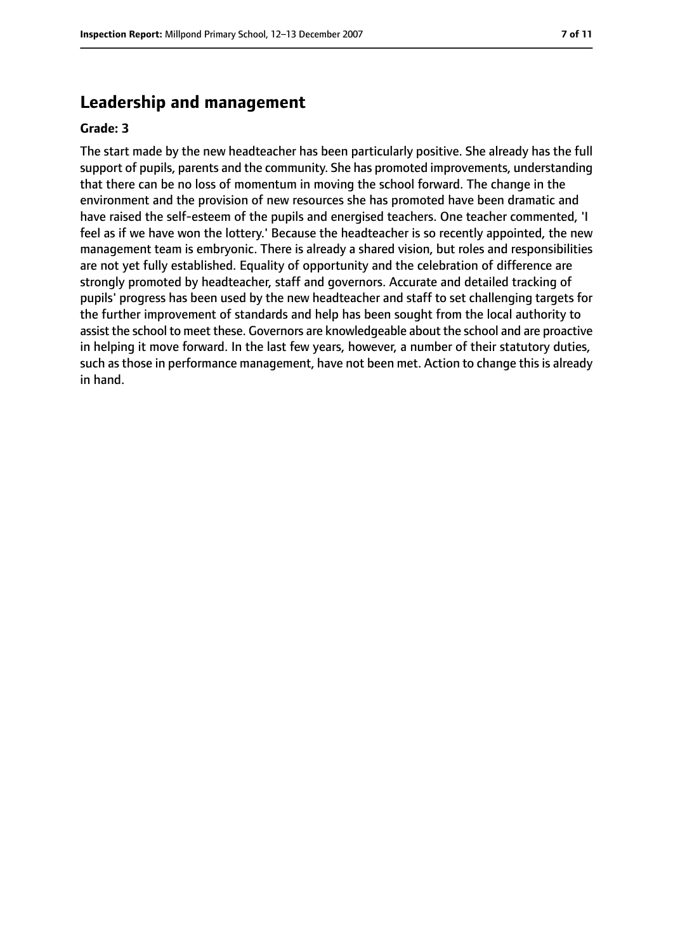# **Leadership and management**

#### **Grade: 3**

The start made by the new headteacher has been particularly positive. She already has the full support of pupils, parents and the community. She has promoted improvements, understanding that there can be no loss of momentum in moving the school forward. The change in the environment and the provision of new resources she has promoted have been dramatic and have raised the self-esteem of the pupils and energised teachers. One teacher commented, 'I feel as if we have won the lottery.' Because the headteacher is so recently appointed, the new management team is embryonic. There is already a shared vision, but roles and responsibilities are not yet fully established. Equality of opportunity and the celebration of difference are strongly promoted by headteacher, staff and governors. Accurate and detailed tracking of pupils' progress has been used by the new headteacher and staff to set challenging targets for the further improvement of standards and help has been sought from the local authority to assist the school to meet these. Governors are knowledgeable about the school and are proactive in helping it move forward. In the last few years, however, a number of their statutory duties, such as those in performance management, have not been met. Action to change this is already in hand.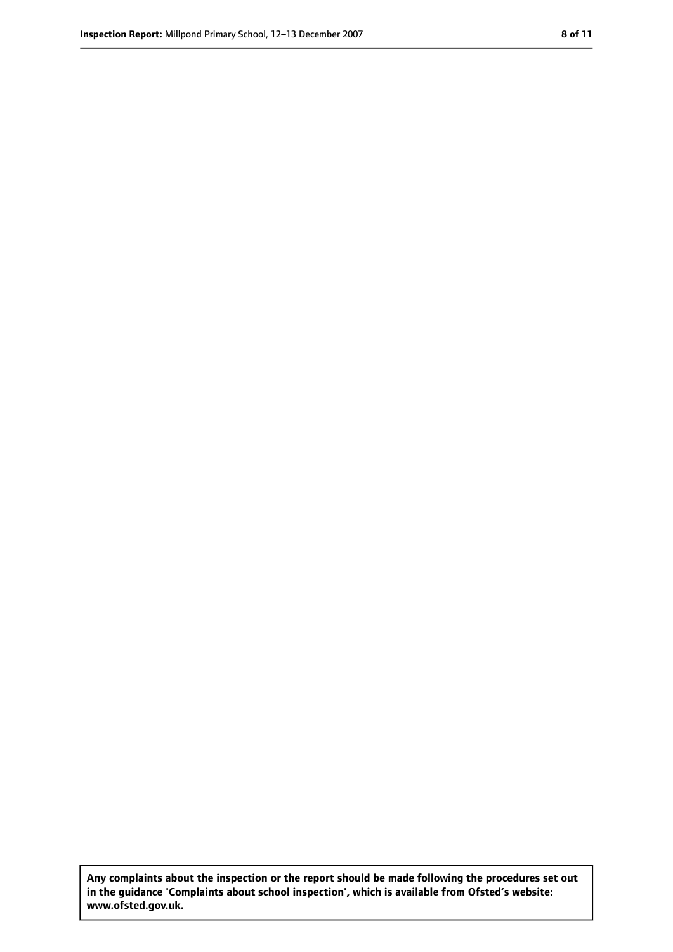**Any complaints about the inspection or the report should be made following the procedures set out in the guidance 'Complaints about school inspection', which is available from Ofsted's website: www.ofsted.gov.uk.**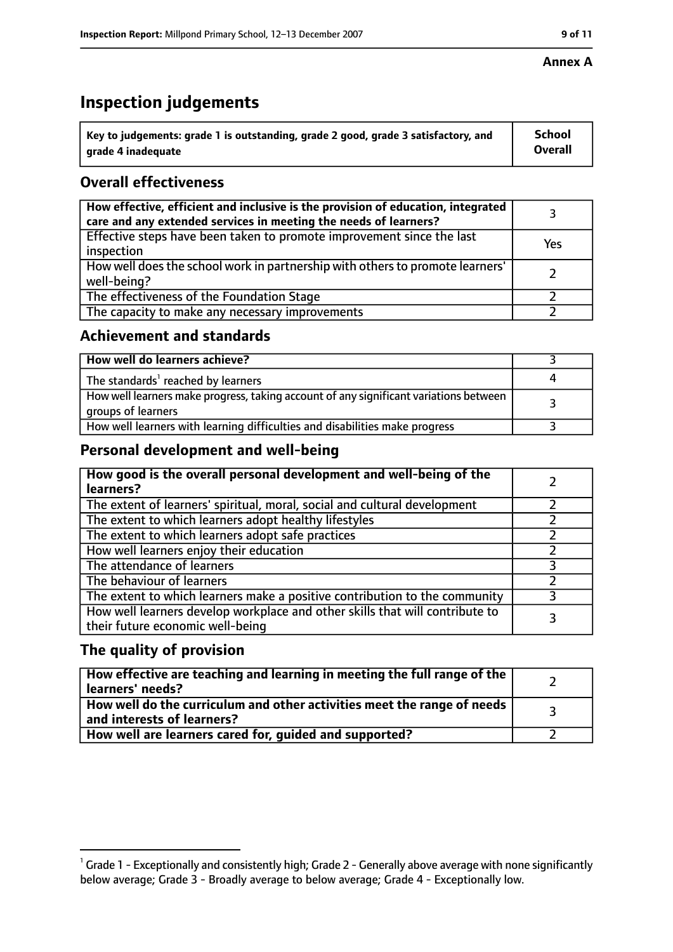#### **Annex A**

# **Inspection judgements**

| $^{\backprime}$ Key to judgements: grade 1 is outstanding, grade 2 good, grade 3 satisfactory, and | <b>School</b>  |
|----------------------------------------------------------------------------------------------------|----------------|
| arade 4 inadequate                                                                                 | <b>Overall</b> |

# **Overall effectiveness**

| How effective, efficient and inclusive is the provision of education, integrated<br>care and any extended services in meeting the needs of learners? |     |
|------------------------------------------------------------------------------------------------------------------------------------------------------|-----|
| Effective steps have been taken to promote improvement since the last<br>inspection                                                                  | Yes |
| How well does the school work in partnership with others to promote learners'<br>well-being?                                                         |     |
| The effectiveness of the Foundation Stage                                                                                                            |     |
| The capacity to make any necessary improvements                                                                                                      |     |

## **Achievement and standards**

| How well do learners achieve?                                                                               |  |
|-------------------------------------------------------------------------------------------------------------|--|
| The standards <sup>1</sup> reached by learners                                                              |  |
| How well learners make progress, taking account of any significant variations between<br>groups of learners |  |
| How well learners with learning difficulties and disabilities make progress                                 |  |

## **Personal development and well-being**

| How good is the overall personal development and well-being of the<br>learners?                                  |  |
|------------------------------------------------------------------------------------------------------------------|--|
| The extent of learners' spiritual, moral, social and cultural development                                        |  |
| The extent to which learners adopt healthy lifestyles                                                            |  |
| The extent to which learners adopt safe practices                                                                |  |
| How well learners enjoy their education                                                                          |  |
| The attendance of learners                                                                                       |  |
| The behaviour of learners                                                                                        |  |
| The extent to which learners make a positive contribution to the community                                       |  |
| How well learners develop workplace and other skills that will contribute to<br>their future economic well-being |  |

## **The quality of provision**

| How effective are teaching and learning in meeting the full range of the<br>learners' needs?          |  |
|-------------------------------------------------------------------------------------------------------|--|
| How well do the curriculum and other activities meet the range of needs<br>and interests of learners? |  |
| How well are learners cared for, guided and supported?                                                |  |

 $^1$  Grade 1 - Exceptionally and consistently high; Grade 2 - Generally above average with none significantly below average; Grade 3 - Broadly average to below average; Grade 4 - Exceptionally low.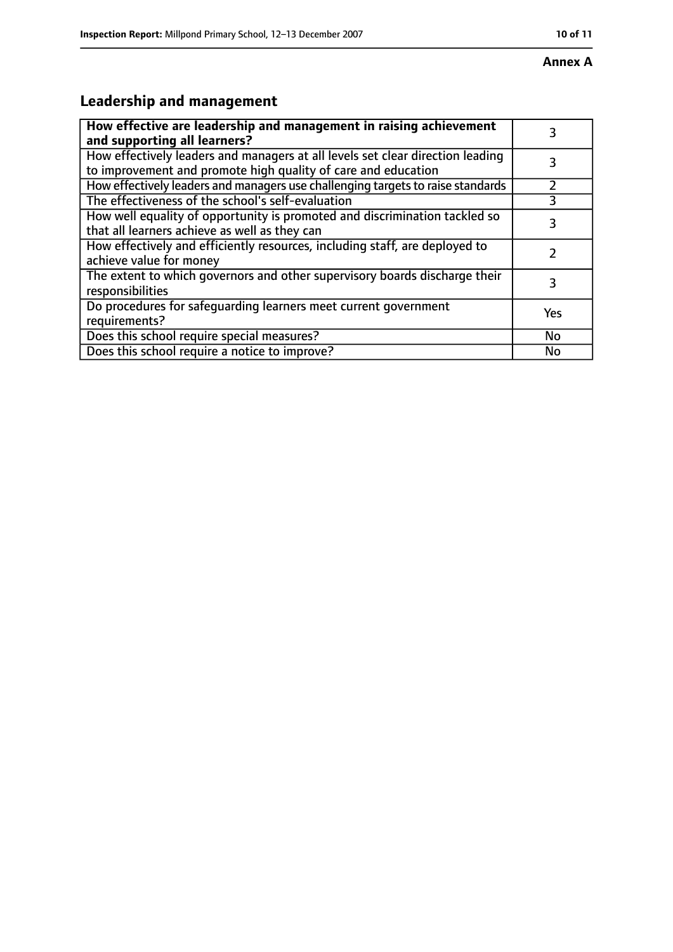# **Leadership and management**

| How effective are leadership and management in raising achievement<br>and supporting all learners?                                              | 3         |
|-------------------------------------------------------------------------------------------------------------------------------------------------|-----------|
| How effectively leaders and managers at all levels set clear direction leading<br>to improvement and promote high quality of care and education |           |
| How effectively leaders and managers use challenging targets to raise standards                                                                 |           |
| The effectiveness of the school's self-evaluation                                                                                               |           |
| How well equality of opportunity is promoted and discrimination tackled so<br>that all learners achieve as well as they can                     | 3         |
| How effectively and efficiently resources, including staff, are deployed to<br>achieve value for money                                          |           |
| The extent to which governors and other supervisory boards discharge their<br>responsibilities                                                  | 3         |
| Do procedures for safequarding learners meet current government<br>requirements?                                                                | Yes       |
| Does this school require special measures?                                                                                                      | <b>No</b> |
| Does this school require a notice to improve?                                                                                                   | No        |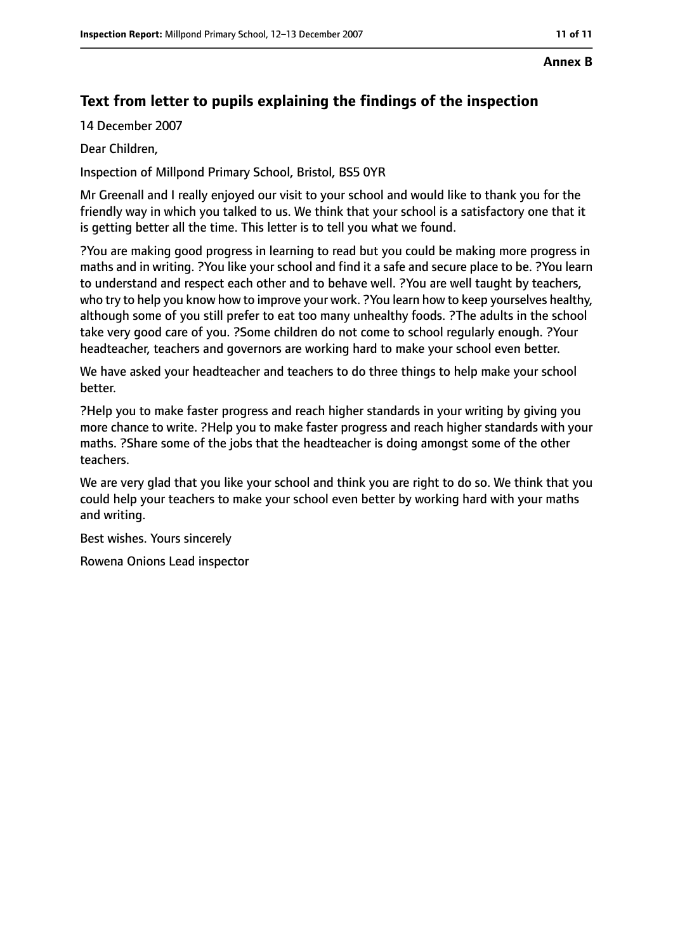#### **Annex B**

# **Text from letter to pupils explaining the findings of the inspection**

14 December 2007

Dear Children,

Inspection of Millpond Primary School, Bristol, BS5 0YR

Mr Greenall and I really enjoyed our visit to your school and would like to thank you for the friendly way in which you talked to us. We think that your school is a satisfactory one that it is getting better all the time. This letter is to tell you what we found.

?You are making good progress in learning to read but you could be making more progress in maths and in writing. ?You like your school and find it a safe and secure place to be. ?You learn to understand and respect each other and to behave well. ?You are well taught by teachers, who try to help you know how to improve your work. ?You learn how to keep yourselves healthy, although some of you still prefer to eat too many unhealthy foods. ?The adults in the school take very good care of you. ?Some children do not come to school regularly enough. ?Your headteacher, teachers and governors are working hard to make your school even better.

We have asked your headteacher and teachers to do three things to help make your school better.

?Help you to make faster progress and reach higher standards in your writing by giving you more chance to write. ?Help you to make faster progress and reach higher standards with your maths. ?Share some of the jobs that the headteacher is doing amongst some of the other teachers.

We are very glad that you like your school and think you are right to do so. We think that you could help your teachers to make your school even better by working hard with your maths and writing.

Best wishes. Yours sincerely

Rowena Onions Lead inspector